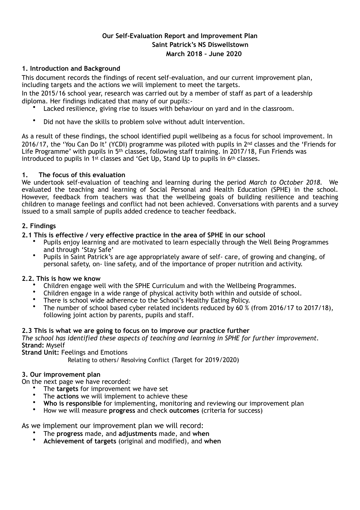# **Our Self-Evaluation Report and Improvement Plan Saint Patrick's NS Diswellstown March 2018 – June 2020**

## **1. Introduction and Background**

This document records the findings of recent self-evaluation, and our current improvement plan, including targets and the actions we will implement to meet the targets.

In the 2015/16 school year, research was carried out by a member of staff as part of a leadership diploma. Her findings indicated that many of our pupils:-

- Lacked resilience, giving rise to issues with behaviour on yard and in the classroom.
- Did not have the skills to problem solve without adult intervention.

As a result of these findings, the school identified pupil wellbeing as a focus for school improvement. In 2016/17, the 'You Can Do It' (YCDI) programme was piloted with pupils in 2<sup>nd</sup> classes and the 'Friends for Life Programme' with pupils in 5<sup>th</sup> classes, following staff training. In 2017/18, Fun Friends was introduced to pupils in 1<sup>st</sup> classes and 'Get Up, Stand Up to pupils in 6<sup>th</sup> classes.

## **1. The focus of this evaluation**

We undertook self-evaluation of teaching and learning during the period *March to October 2018.* We evaluated the teaching and learning of Social Personal and Health Education (SPHE) in the school. However, feedback from teachers was that the wellbeing goals of building resilience and teaching children to manage feelings and conflict had not been achieved. Conversations with parents and a survey issued to a small sample of pupils added credence to teacher feedback.

## **2. Findings**

## **2.1 This is effective / very effective practice in the area of SPHE in our school**

- Pupils enjoy learning and are motivated to learn especially through the Well Being Programmes and through 'Stay Safe'
- Pupils in Saint Patrick's are age appropriately aware of self- care, of growing and changing, of personal safety, on- line safety, and of the importance of proper nutrition and activity.

## **2.2. This is how we know**

- Children engage well with the SPHE Curriculum and with the Wellbeing Programmes.
- Children engage in a wide range of physical activity both within and outside of school.
- There is school wide adherence to the School's Healthy Eating Policy.
- The number of school based cyber related incidents reduced by 60 % (from 2016/17 to 2017/18), following joint action by parents, pupils and staff.

## **2.3 This is what we are going to focus on to improve our practice further**

*The school has identified these aspects of teaching and learning in SPHE for further improvement.*  **Strand:** Myself

**Strand Unit:** Feelings and Emotions

Relating to others/ Resolving Conflict (Target for 2019/2020)

## **3. Our improvement plan**

On the next page we have recorded:

- The **targets** for improvement we have set
- The **actions** we will implement to achieve these
- **Who is responsible** for implementing, monitoring and reviewing our improvement plan
- How we will measure **progress** and check **outcomes** (criteria for success)

As we implement our improvement plan we will record:

- The **progress** made, and **adjustments** made, and **when**
- **Achievement of targets** (original and modified), and **when**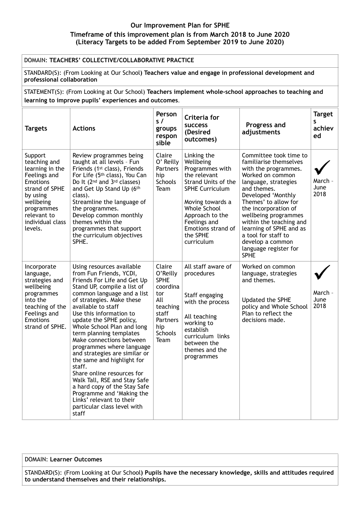#### **Our Improvement Plan for SPHE Timeframe of this improvement plan is from March 2018 to June 2020 (Literacy Targets to be added From September 2019 to June 2020)**

#### DOMAIN: **TEACHERS' COLLECTIVE/COLLABORATIVE PRACTICE**

STANDARD(S): (From Looking at Our School**) Teachers value and engage in professional development and professional collaboration**

STATEMENT(S): (From Looking at Our School) **Teachers implement whole-school approaches to teaching and learning to improve pupils' experiences and outcomes**.

| <b>Targets</b>                                                                                                                                                                       | <b>Actions</b>                                                                                                                                                                                                                                                                                                                                                                                                                                                                                                                                                                                                                                      | Person<br>s/<br>groups<br>respon<br>sible                                                                              | Criteria for<br><b>SUCCESS</b><br>(Desired<br>outcomes)                                                                                                                                                                             | Progress and<br>adjustments                                                                                                                                                                                                                                                                                                                                                | <b>Target</b><br>S<br>achiev<br>ed |
|--------------------------------------------------------------------------------------------------------------------------------------------------------------------------------------|-----------------------------------------------------------------------------------------------------------------------------------------------------------------------------------------------------------------------------------------------------------------------------------------------------------------------------------------------------------------------------------------------------------------------------------------------------------------------------------------------------------------------------------------------------------------------------------------------------------------------------------------------------|------------------------------------------------------------------------------------------------------------------------|-------------------------------------------------------------------------------------------------------------------------------------------------------------------------------------------------------------------------------------|----------------------------------------------------------------------------------------------------------------------------------------------------------------------------------------------------------------------------------------------------------------------------------------------------------------------------------------------------------------------------|------------------------------------|
| Support<br>teaching and<br>learning in the<br>Feelings and<br><b>Emotions</b><br>strand of SPHE<br>by using<br>wellbeing<br>programmes<br>relevant to<br>individual class<br>levels. | Review programmes being<br>taught at all levels - Fun<br>Friends (1 <sup>st</sup> class), Friends<br>For Life (5 <sup>th</sup> class), You Can<br>Do It (2 <sup>nd</sup> and 3 <sup>rd</sup> classes)<br>and Get Up Stand Up (6th<br>class).<br>Streamline the language of<br>the programmes.<br>Develop common monthly<br>themes within the<br>programmes that support<br>the curriculum objectives<br>SPHE.                                                                                                                                                                                                                                       | Claire<br>O' Reilly<br><b>Partners</b><br>hip<br><b>Schools</b><br><b>Team</b>                                         | Linking the<br>Wellbeing<br>Programmes with<br>the relevant<br>Strand Units of the<br><b>SPHE Curriculum</b><br>Moving towards a<br>Whole School<br>Approach to the<br>Feelings and<br>Emotions strand of<br>the SPHE<br>curriculum | Committee took time to<br>familiarise themselves<br>with the programmes.<br>Worked on common<br>language, strategies<br>and themes.<br>Developed 'Monthly<br>Themes' to allow for<br>the incorporation of<br>wellbeing programmes<br>within the teaching and<br>learning of SPHE and as<br>a tool for staff to<br>develop a common<br>language register for<br><b>SPHE</b> | March -<br>June<br>2018            |
| Incorporate<br>language,<br>strategies and<br>wellbeing<br>programmes<br>into the<br>teaching of the<br>Feelings and<br><b>Emotions</b><br>strand of SPHE.                           | Using resources available<br>from Fun Friends, YCDI,<br>Friends For Life and Get Up<br>Stand UP, compile a list of<br>common language and a list<br>of strategies. Make these<br>available to staff<br>Use this information to<br>update the SPHE policy,<br>Whole School Plan and long<br>term planning templates<br>Make connections between<br>programmes where language<br>and strategies are similar or<br>the same and highlight for<br>staff.<br>Share online resources for<br>Walk Tall, RSE and Stay Safe<br>a hard copy of the Stay Safe<br>Programme and 'Making the<br>Links' relevant to their<br>particular class level with<br>staff | Claire<br>O'Reilly<br><b>SPHE</b><br>coordina<br>tor<br>All<br>teaching<br>staff<br>Partners<br>hip<br>Schools<br>Team | All staff aware of<br>procedures<br>Staff engaging<br>with the process<br>All teaching<br>working to<br>establish<br>curriculum links<br>between the<br>themes and the<br>programmes                                                | Worked on common<br>language, strategies<br>and themes.<br>Updated the SPHE<br>policy and Whole School<br>Plan to reflect the<br>decisions made.                                                                                                                                                                                                                           | March -<br>June<br>2018            |

#### DOMAIN: **Learner Outcomes**

STANDARD(S): (From Looking at Our School**) Pupils have the necessary knowledge, skills and attitudes required to understand themselves and their relationships.**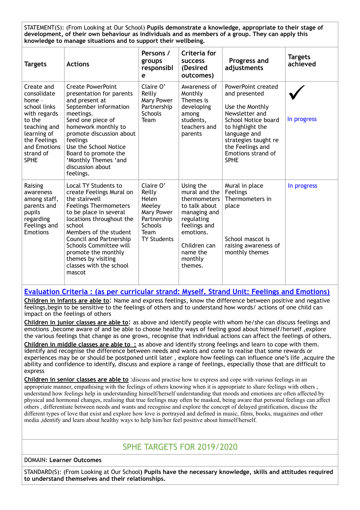STATEMENT(S): (From Looking at Our School) **Pupils demonstrate a knowledge, appropriate to their stage of development, of their own behaviour as individuals and as members of a group. They can apply this knowledge to manage situations and to support their wellbeing.** 

| <b>Targets</b>                                                                                                                                                           | <b>Actions</b>                                                                                                                                                                                                                                                                                                                     | Persons /<br>groups<br>responsibl<br>e                                                                              | Criteria for<br><b>SUCCESS</b><br>(Desired<br>outcomes)                                                                                                                  | Progress and<br>adjustments                                                                                                                                                                                          | <b>Targets</b><br>achieved |
|--------------------------------------------------------------------------------------------------------------------------------------------------------------------------|------------------------------------------------------------------------------------------------------------------------------------------------------------------------------------------------------------------------------------------------------------------------------------------------------------------------------------|---------------------------------------------------------------------------------------------------------------------|--------------------------------------------------------------------------------------------------------------------------------------------------------------------------|----------------------------------------------------------------------------------------------------------------------------------------------------------------------------------------------------------------------|----------------------------|
| Create and<br>consolidate<br>home -<br>school links<br>with regards<br>to the<br>teaching and<br>learning of<br>the Feelings<br>and Emotions<br>strand of<br><b>SPHE</b> | <b>Create PowerPoint</b><br>presentation for parents<br>and present at<br>September information<br>meetings.<br>Send one piece of<br>homework monthly to<br>promote discussion about<br>feelings<br>Use the School Notice<br>Board to promote the<br>'Monthly Themes 'and<br>discussion about<br>feelings.                         | Claire O'<br>Reilly<br>Mary Power<br>Partnership<br><b>Schools</b><br>Team                                          | Awareness of<br>Monthly<br>Themes is<br>developing<br>among<br>students,<br>teachers and<br>parents                                                                      | PowerPoint created<br>and presented<br>Use the Monthly<br>Newsletter and<br>School Notice board<br>to highlight the<br>language and<br>strategies taught re<br>the Feelings and<br>Emotions strand of<br><b>SPHE</b> | In progress                |
| Raising<br>awareness<br>among staff,<br>parents and<br>pupils<br>regarding<br>Feelings and<br><b>Emotions</b>                                                            | Local TY Students to<br>create Feelings Mural on<br>the stairwell<br><b>Feelings Thermometers</b><br>to be place in several<br>locations throughout the<br>school<br>Members of the student<br>Council and Partnership<br>Schools Committee will<br>promote the monthly<br>themes by visiting<br>classes with the school<br>mascot | Claire O'<br>Reilly<br>Helen<br>Meeley<br>Mary Power<br>Partnership<br><b>Schools</b><br>Team<br><b>TY Students</b> | Using the<br>mural and the<br>thermometers<br>to talk about<br>managing and<br>regulating<br>feelings and<br>emotions.<br>Children can<br>name the<br>monthly<br>themes. | Mural in place<br>Feelings<br>Thermometers in<br>place<br>School mascot is<br>raising awareness of<br>monthly themes                                                                                                 | In progress                |

#### **Evaluation Criteria : (as per curricular strand: Myself. Strand Unit: Feelings and Emotions)**

**Children in Infants are able to**: Name and express feelings, know the difference between positive and negative feelings,begin to be sensitive to the feelings of others and to understand how words/ actions of one child can impact on the feelings of others

**Children in junior classes are able to**: as above and identify people with whom he/she can discuss feelings and emotions ,become aware of and be able to choose healthy ways of feeling good about himself/herself ,explore the various feelings that change as one grows, recognise that individual actions can affect the feelings of others.

**Children in middle classes are able to :** as above and identify strong feelings and learn to cope with them. identify and recognise the difference between needs and wants and come to realise that some rewards or experiences may be or should be postponed until later , explore how feelings can influence one's life ,acquire the ability and confidence to identify, discuss and explore a range of feelings, especially those that are difficult to express

**Children in senior classes are able to** :discuss and practise how to express and cope with various feelings in an appropriate manner, empathising with the feelings of others knowing when it is appropriate to share feelings with others , understand how feelings help in understanding himself/herself understanding that moods and emotions are often affected by physical and hormonal changes, realising that true feelings may often be masked, being aware that personal feelings can affect others , differentiate between needs and wants and recognise and explore the concept of delayed gratification, discuss the different types of love that exist and explore how love is portrayed and defined in music, films, books, magazines and other media ,identify and learn about healthy ways to help him/her feel positive about himself/herself.

# SPHE TARGETS FOR 2019/2020

#### DOMAIN: **Learner Outcomes**

STANDARD(S): (From Looking at Our School**) Pupils have the necessary knowledge, skills and attitudes required to understand themselves and their relationships.**